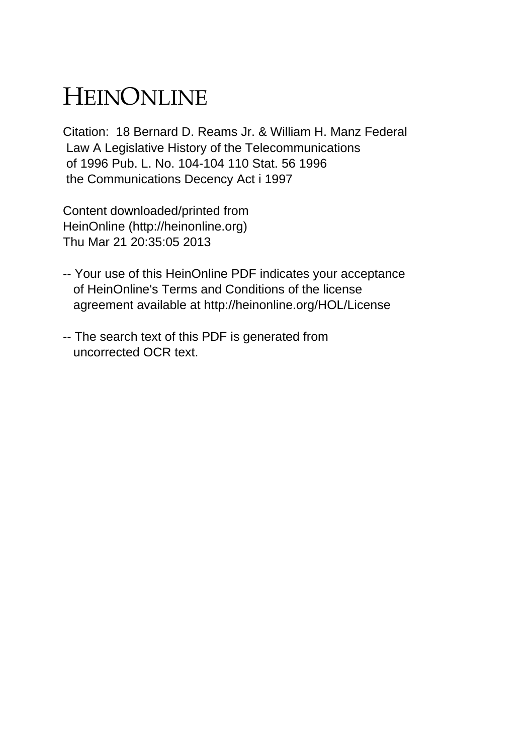## HEINONLINE

Citation: 18 Bernard D. Reams Jr. & William H. Manz Federal Law A Legislative History of the Telecommunications of 1996 Pub. L. No. 104-104 110 Stat. 56 1996 the Communications Decency Act i 1997

Content downloaded/printed from HeinOnline (http://heinonline.org) Thu Mar 21 20:35:05 2013

- -- Your use of this HeinOnline PDF indicates your acceptance of HeinOnline's Terms and Conditions of the license agreement available at http://heinonline.org/HOL/License
- -- The search text of this PDF is generated from uncorrected OCR text.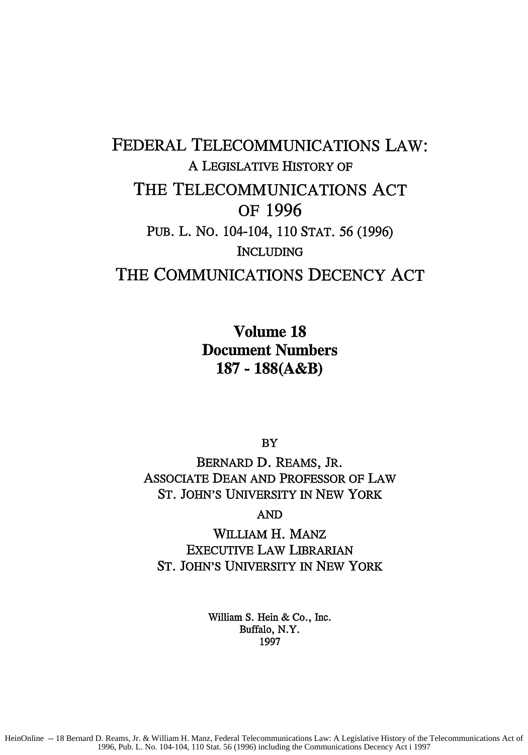## FEDERAL **TELECOMMUNICATIONS** LAW: A LEGISLATIVE HISTORY OF THE TELECOMMUNICATIONS **ACT** OF **1996 PUB.** L. **No.** 104-104, **110 STAT. 56 (1996)** INCLUDING THE COMMUNICATIONS **DECENCY ACT**

Volume **18** Document Numbers **187 - 188(A&B)**

BY

BERNARD D. REAMS, JR. ASSOCIATE DEAN AND PROFESSOR OF LAW ST. JOHN'S UNIVERSITY IN NEW YORK

**AND**

WILLIAM H. **MANZ** EXECUTIVE LAW LIBRARIAN ST. JOHN'S UNIVERSITY IN NEW YORK

> William S. Hein & Co., Inc. Buffalo, N.Y. **1997**